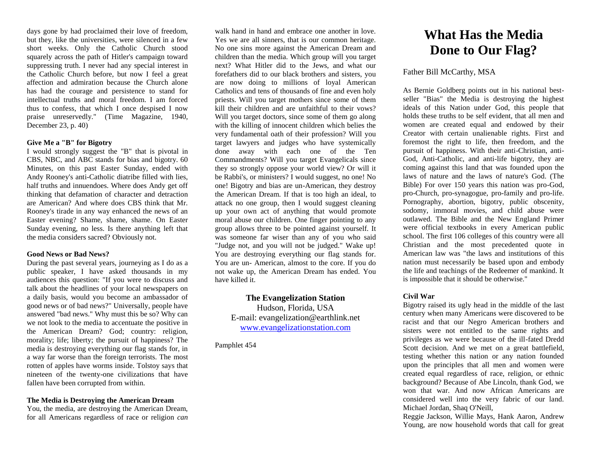days gone by had proclaimed their love of freedom, but they, like the universities, were silenced in a few short weeks. Only the Catholic Church stood squarely across the path of Hitler's campaign toward suppressing truth. I never had any special interest in the Catholic Church before, but now I feel a great affection and admiration because the Church alone has had the courage and persistence to stand for intellectual truths and moral freedom. I am forced thus to confess, that which I once despised I now praise unreservedly." (Time Magazine, 1940, December 23, p. 40)

# **Give Me a "B" for Bigotry**

I would strongly suggest the "B" that is pivotal in CBS, NBC, and ABC stands for bias and bigotry. 60 Minutes, on this past Easter Sunday, ended with Andy Rooney's anti-Catholic diatribe filled with lies, half truths and innuendoes. Where does Andy get off thinking that defamation of character and detraction are American? And where does CBS think that Mr. Rooney's tirade in any way enhanced the news of an Easter evening? Shame, shame, shame. On Easter Sunday evening, no less. Is there anything left that the media considers sacred? Obviously not.

## **Good News or Bad News?**

During the past several years, journeying as I do as a public speaker, I have asked thousands in my audiences this question: "If you were to discuss and talk about the headlines of your local newspapers on a daily basis, would you become an ambassador of good news or of bad news?" Universally, people have answered "bad news." Why must this be so? Why can we not look to the media to accentuate the positive in the American Dream? God; country: religion, morality; life; liberty; the pursuit of happiness? The media is destroying everything our flag stands for, in a way far worse than the foreign terrorists. The most rotten of apples have worms inside. Tolstoy says that nineteen of the twenty-one civilizations that have fallen have been corrupted from within.

## **The Media is Destroying the American Dream**

You, the media, are destroying the American Dream, for all Americans regardless of race or religion *can* 

walk hand in hand and embrace one another in love. Yes we are all sinners, that is our common heritage. No one sins more against the American Dream and children than the media. Which group will you target next? What Hitler did to the Jews, and what our forefathers did to our black brothers and sisters, you are now doing to millions of loyal American Catholics and tens of thousands of fine and even holy priests. Will you target mothers since some of them kill their children and are unfaithful to their vows? Will you target doctors, since some of them go along with the killing of innocent children which belies the very fundamental oath of their profession? Will you target lawyers and judges who have systemically done away with each one of the Ten Commandments? Will you target Evangelicals since they so strongly oppose your world view? Or will it be Rabbi's, or ministers? I would suggest, no one! No one! Bigotry and bias are un-American, they destroy the American Dream. If that is too high an ideal, to attack no one group, then I would suggest cleaning up your own act of anything that would promote moral abuse our children. One finger pointing to any group allows three to be pointed against yourself. It was someone far wiser than any of you who said "Judge not, and you will not be judged." Wake up! You are destroying everything our flag stands for. You are un- American, almost to the core. If you do not wake up, the American Dream has ended. You have killed it.

# **The Evangelization Station** Hudson, Florida, USA E-mail: evangelization@earthlink.net [www.evangelizationstation.com](http://www.pjpiisoe.org/)

Pamphlet 454

# **What Has the Media Done to Our Flag?**

# Father Bill McCarthy, MSA

As Bernie Goldberg points out in his national bestseller "Bias" the Media is destroying the highest ideals of this Nation under God, this people that holds these truths to be self evident, that all men and women are created equal and endowed by their Creator with certain unalienable rights. First and foremost the right to life, then freedom, and the pursuit of happiness. With their anti-Christian, anti-God, Anti-Catholic, and anti-life bigotry, they are coming against this land that was founded upon the laws of nature and the laws of nature's God. (The Bible) For over 150 years this nation was pro-God, pro-Church, pro-synagogue, pro-family and pro-life. Pornography, abortion, bigotry, public obscenity, sodomy, immoral movies, and child abuse were outlawed. The Bible and the New England Primer were official textbooks in every American public school. The first 106 colleges of this country were all Christian and the most precedented quote in American law was "the laws and institutions of this nation must necessarily be based upon and embody the life and teachings of the Redeemer of mankind. It is impossible that it should be otherwise."

# **Civil War**

Bigotry raised its ugly head in the middle of the last century when many Americans were discovered to be racist and that our Negro American brothers and sisters were not entitled to the same rights and privileges as we were because of the ill-fated Dredd Scott decision. And we met on a great battlefield, testing whether this nation or any nation founded upon the principles that all men and women were created equal regardless of race, religion, or ethnic background? Because of Abe Lincoln, thank God, we won that war. And now African Americans are considered well into the very fabric of our land. Michael Jordan, Shaq O'Neill,

Reggie Jackson, Willie Mays, Hank Aaron, Andrew Young, are now household words that call for great